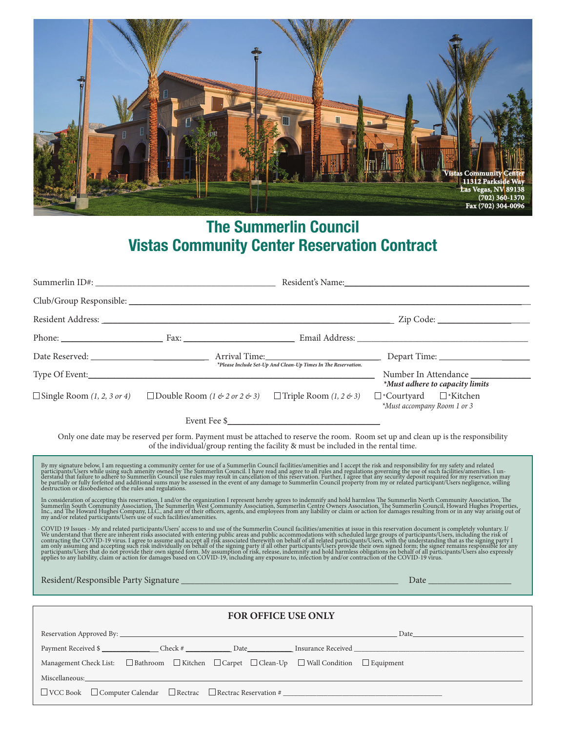

## **The Summerlin Council Vistas Community Center Reservation Contract**

|                                                                                                                                                                                                                                                                                                                                                                                                                                                                                                                                                                                                                                                                                                     | $\Box$ Single Room (1, 2, 3 or 4) $\Box$ Double Room (1 & 2 or 2 & 3) $\Box$ Triple Room (1, 2 & 3) $\Box$ *Courtyard $\Box$ *Kitchen                                                                                         | *Must adhere to capacity limits<br>*Must accompany Room 1 or 3 |  |  |  |  |  |
|-----------------------------------------------------------------------------------------------------------------------------------------------------------------------------------------------------------------------------------------------------------------------------------------------------------------------------------------------------------------------------------------------------------------------------------------------------------------------------------------------------------------------------------------------------------------------------------------------------------------------------------------------------------------------------------------------------|-------------------------------------------------------------------------------------------------------------------------------------------------------------------------------------------------------------------------------|----------------------------------------------------------------|--|--|--|--|--|
|                                                                                                                                                                                                                                                                                                                                                                                                                                                                                                                                                                                                                                                                                                     |                                                                                                                                                                                                                               |                                                                |  |  |  |  |  |
| Only one date may be reserved per form. Payment must be attached to reserve the room. Room set up and clean up is the responsibility<br>of the individual/group renting the facility & must be included in the rental time.                                                                                                                                                                                                                                                                                                                                                                                                                                                                         |                                                                                                                                                                                                                               |                                                                |  |  |  |  |  |
| By my signature below, I am requesting a community center for use of a Summerlin Council facilities/amenities and I accept the risk and responsibility for my safety and related participants/Users while using such amenity o<br>In consideration of accepting this reservation, I and/or the organization I represent hereby agrees to indemnify and hold harmless The Summerlin North Community Association, The Summerlin South Community Association, The<br>COVID 19 Issues - My and related participants/Users' access to and use of the Summerlin Council facilities/amenities at issue in this reservation document is completely voluntary. I/<br>We understand that there are inherent r |                                                                                                                                                                                                                               |                                                                |  |  |  |  |  |
|                                                                                                                                                                                                                                                                                                                                                                                                                                                                                                                                                                                                                                                                                                     |                                                                                                                                                                                                                               |                                                                |  |  |  |  |  |
| FOR OFFICE USE ONLY                                                                                                                                                                                                                                                                                                                                                                                                                                                                                                                                                                                                                                                                                 |                                                                                                                                                                                                                               |                                                                |  |  |  |  |  |
|                                                                                                                                                                                                                                                                                                                                                                                                                                                                                                                                                                                                                                                                                                     |                                                                                                                                                                                                                               |                                                                |  |  |  |  |  |
|                                                                                                                                                                                                                                                                                                                                                                                                                                                                                                                                                                                                                                                                                                     |                                                                                                                                                                                                                               | Payment Received \$                                            |  |  |  |  |  |
|                                                                                                                                                                                                                                                                                                                                                                                                                                                                                                                                                                                                                                                                                                     | $\text{Management Check List:}\quad \Box \text{ Bathroom}\quad \Box \text{ Kitchen}\quad \Box \text{Carpet}\quad \Box \text{ Clean-Up}\quad \Box \text{ Wall Condition}\quad \Box \text{ Equipment}$                          |                                                                |  |  |  |  |  |
|                                                                                                                                                                                                                                                                                                                                                                                                                                                                                                                                                                                                                                                                                                     | Miscellaneous: 1988 and 2008 and 2008 and 2008 and 2008 and 2008 and 2008 and 2008 and 2008 and 2008 and 2008 and 2008 and 2008 and 2008 and 2008 and 2008 and 2008 and 2008 and 2008 and 2008 and 2008 and 2008 and 2008 and |                                                                |  |  |  |  |  |
|                                                                                                                                                                                                                                                                                                                                                                                                                                                                                                                                                                                                                                                                                                     | $\Box$ VCC Book $\Box$ Computer Calendar $\Box$ Rectrac $\Box$ Rectrac Reservation #                                                                                                                                          |                                                                |  |  |  |  |  |